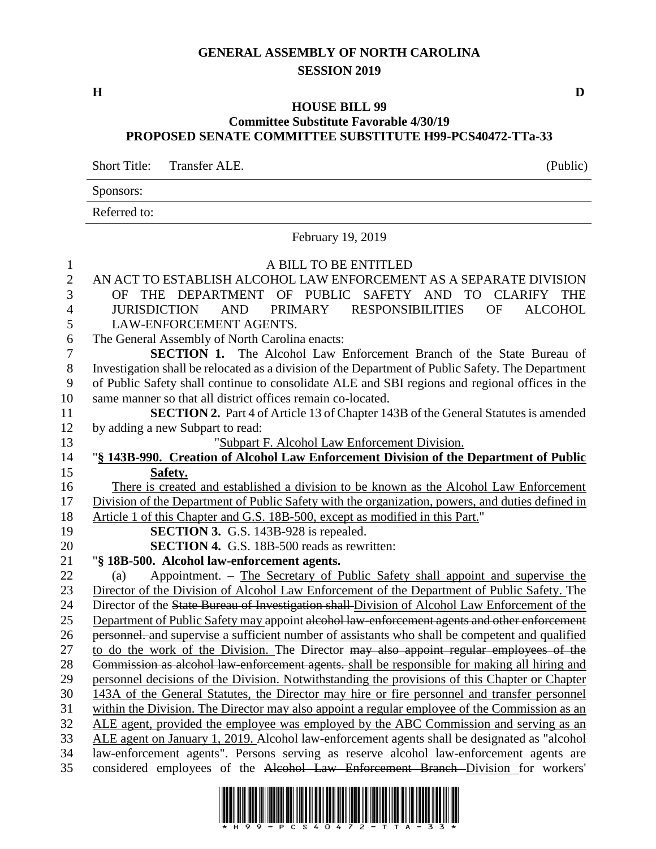## **GENERAL ASSEMBLY OF NORTH CAROLINA SESSION 2019**

## **HOUSE BILL 99 Committee Substitute Favorable 4/30/19 PROPOSED SENATE COMMITTEE SUBSTITUTE H99-PCS40472-TTa-33**

Short Title: Transfer ALE. (Public)

Sponsors: Referred to:

February 19, 2019

| $\mathbf{1}$     | A BILL TO BE ENTITLED                                                                                         |
|------------------|---------------------------------------------------------------------------------------------------------------|
| $\overline{c}$   | AN ACT TO ESTABLISH ALCOHOL LAW ENFORCEMENT AS A SEPARATE DIVISION                                            |
| $\overline{3}$   | THE DEPARTMENT OF PUBLIC<br>SAFETY AND TO<br><b>CLARIFY</b><br><b>THE</b><br>OF.                              |
| $\overline{4}$   | <b>JURISDICTION</b><br><b>PRIMARY</b><br><b>RESPONSIBILITIES</b><br><b>ALCOHOL</b><br><b>AND</b><br><b>OF</b> |
| 5                | LAW-ENFORCEMENT AGENTS.                                                                                       |
| 6                | The General Assembly of North Carolina enacts:                                                                |
| $\boldsymbol{7}$ | SECTION 1. The Alcohol Law Enforcement Branch of the State Bureau of                                          |
| 8                | Investigation shall be relocated as a division of the Department of Public Safety. The Department             |
| 9                | of Public Safety shall continue to consolidate ALE and SBI regions and regional offices in the                |
| 10               | same manner so that all district offices remain co-located.                                                   |
| 11               | <b>SECTION 2.</b> Part 4 of Article 13 of Chapter 143B of the General Statutes is amended                     |
| 12               | by adding a new Subpart to read:                                                                              |
| 13               | "Subpart F. Alcohol Law Enforcement Division.                                                                 |
| 14               | "§ 143B-990. Creation of Alcohol Law Enforcement Division of the Department of Public                         |
| 15               | Safety.                                                                                                       |
| 16               | There is created and established a division to be known as the Alcohol Law Enforcement                        |
| 17               | Division of the Department of Public Safety with the organization, powers, and duties defined in              |
| 18               | Article 1 of this Chapter and G.S. 18B-500, except as modified in this Part."                                 |
| 19               | <b>SECTION 3.</b> G.S. 143B-928 is repealed.                                                                  |
| 20               | <b>SECTION 4.</b> G.S. 18B-500 reads as rewritten:                                                            |
| 21               | "§ 18B-500. Alcohol law-enforcement agents.                                                                   |
| 22               | Appointment. – The Secretary of Public Safety shall appoint and supervise the<br>(a)                          |
| 23               | Director of the Division of Alcohol Law Enforcement of the Department of Public Safety. The                   |
| 24               | Director of the State Bureau of Investigation shall Division of Alcohol Law Enforcement of the                |
| 25               | Department of Public Safety may appoint alcohol law-enforcement agents and other enforcement                  |
| 26               | personnel, and supervise a sufficient number of assistants who shall be competent and qualified               |
| 27               | to do the work of the Division. The Director may also appoint regular employees of the                        |
| 28               | Commission as alcohol law-enforcement agents. shall be responsible for making all hiring and                  |
| 29               | personnel decisions of the Division. Notwithstanding the provisions of this Chapter or Chapter                |
| 30               | 143A of the General Statutes, the Director may hire or fire personnel and transfer personnel                  |
| 31               | within the Division. The Director may also appoint a regular employee of the Commission as an                 |
| 32               | ALE agent, provided the employee was employed by the ABC Commission and serving as an                         |
| 33               | ALE agent on January 1, 2019. Alcohol law-enforcement agents shall be designated as "alcohol"                 |
| 34               | law-enforcement agents". Persons serving as reserve alcohol law-enforcement agents are                        |
| 35               | considered employees of the Alcohol Law Enforcement Branch Division for workers'                              |

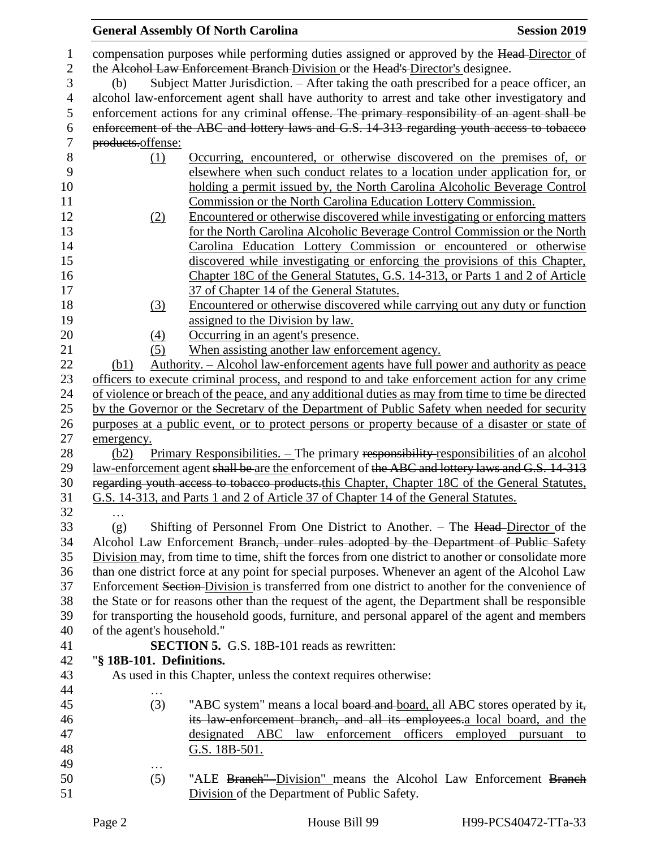|                |                                                                                | <b>General Assembly Of North Carolina</b><br><b>Session 2019</b>                                   |  |  |
|----------------|--------------------------------------------------------------------------------|----------------------------------------------------------------------------------------------------|--|--|
| 1              |                                                                                | compensation purposes while performing duties assigned or approved by the Head-Director of         |  |  |
| $\mathbf{2}$   | the Alcohol Law Enforcement Branch Division or the Head's Director's designee. |                                                                                                    |  |  |
| 3              | (b)                                                                            | Subject Matter Jurisdiction. – After taking the oath prescribed for a peace officer, an            |  |  |
| $\overline{4}$ |                                                                                | alcohol law-enforcement agent shall have authority to arrest and take other investigatory and      |  |  |
| 5              |                                                                                | enforcement actions for any criminal offense. The primary responsibility of an agent shall be      |  |  |
| 6              |                                                                                | enforcement of the ABC and lottery laws and G.S. 14-313 regarding youth access to tobacco          |  |  |
| $\tau$         | products.offense:                                                              |                                                                                                    |  |  |
| 8              | (1)                                                                            | Occurring, encountered, or otherwise discovered on the premises of, or                             |  |  |
| 9              |                                                                                | elsewhere when such conduct relates to a location under application for, or                        |  |  |
| 10             |                                                                                | holding a permit issued by, the North Carolina Alcoholic Beverage Control                          |  |  |
| 11             |                                                                                | Commission or the North Carolina Education Lottery Commission.                                     |  |  |
| 12             | (2)                                                                            | Encountered or otherwise discovered while investigating or enforcing matters                       |  |  |
| 13             |                                                                                | for the North Carolina Alcoholic Beverage Control Commission or the North                          |  |  |
| 14             |                                                                                | Carolina Education Lottery Commission or encountered or otherwise                                  |  |  |
| 15             |                                                                                | discovered while investigating or enforcing the provisions of this Chapter,                        |  |  |
| 16             |                                                                                | Chapter 18C of the General Statutes, G.S. 14-313, or Parts 1 and 2 of Article                      |  |  |
| 17             |                                                                                | 37 of Chapter 14 of the General Statutes.                                                          |  |  |
| 18             | (3)                                                                            | Encountered or otherwise discovered while carrying out any duty or function                        |  |  |
| 19             |                                                                                | assigned to the Division by law.                                                                   |  |  |
| 20             | $\left(4\right)$                                                               | Occurring in an agent's presence.                                                                  |  |  |
| 21             | (5)                                                                            | When assisting another law enforcement agency.                                                     |  |  |
| 22             | (b1)                                                                           | Authority. – Alcohol law-enforcement agents have full power and authority as peace                 |  |  |
| 23             |                                                                                | officers to execute criminal process, and respond to and take enforcement action for any crime     |  |  |
| 24             |                                                                                | of violence or breach of the peace, and any additional duties as may from time to time be directed |  |  |
| 25             |                                                                                | by the Governor or the Secretary of the Department of Public Safety when needed for security       |  |  |
| 26             |                                                                                | purposes at a public event, or to protect persons or property because of a disaster or state of    |  |  |
| 27             | emergency.                                                                     |                                                                                                    |  |  |
| 28             | (b2)                                                                           | <u>Primary Responsibilities. – The primary responsibility responsibilities</u> of an alcohol       |  |  |
| 29             |                                                                                | law-enforcement agent shall be are the enforcement of the ABC and lottery laws and G.S. 14-313     |  |  |
| 30             |                                                                                | regarding youth access to tobacco products.this Chapter, Chapter 18C of the General Statutes,      |  |  |
| 31             |                                                                                | G.S. 14-313, and Parts 1 and 2 of Article 37 of Chapter 14 of the General Statutes.                |  |  |
| 32             |                                                                                |                                                                                                    |  |  |
| 33             | (g)                                                                            | Shifting of Personnel From One District to Another. – The Head-Director of the                     |  |  |
| 34             |                                                                                | Alcohol Law Enforcement Branch, under rules adopted by the Department of Public Safety             |  |  |
| 35             |                                                                                | Division may, from time to time, shift the forces from one district to another or consolidate more |  |  |
| 36             |                                                                                | than one district force at any point for special purposes. Whenever an agent of the Alcohol Law    |  |  |
| 37             |                                                                                | Enforcement Section-Division is transferred from one district to another for the convenience of    |  |  |
| 38             |                                                                                | the State or for reasons other than the request of the agent, the Department shall be responsible  |  |  |
| 39             |                                                                                | for transporting the household goods, furniture, and personal apparel of the agent and members     |  |  |
| 40             | of the agent's household."                                                     |                                                                                                    |  |  |
| 41             |                                                                                | <b>SECTION 5.</b> G.S. 18B-101 reads as rewritten:                                                 |  |  |
| 42             | "§ 18B-101. Definitions.                                                       |                                                                                                    |  |  |
| 43             |                                                                                | As used in this Chapter, unless the context requires otherwise:                                    |  |  |
| 44             | .                                                                              |                                                                                                    |  |  |
| 45             | (3)                                                                            | "ABC system" means a local board and board, all ABC stores operated by it,                         |  |  |
| 46             |                                                                                | its law-enforcement branch, and all its employees.a local board, and the                           |  |  |
| 47             |                                                                                | designated ABC law enforcement officers<br>employed<br>pursuant<br>to                              |  |  |
| 48             |                                                                                | G.S. 18B-501.                                                                                      |  |  |
| 49             | .                                                                              |                                                                                                    |  |  |
| 50             | (5)                                                                            | "ALE Branch"-Division" means the Alcohol Law Enforcement Branch                                    |  |  |
| 51             |                                                                                | Division of the Department of Public Safety.                                                       |  |  |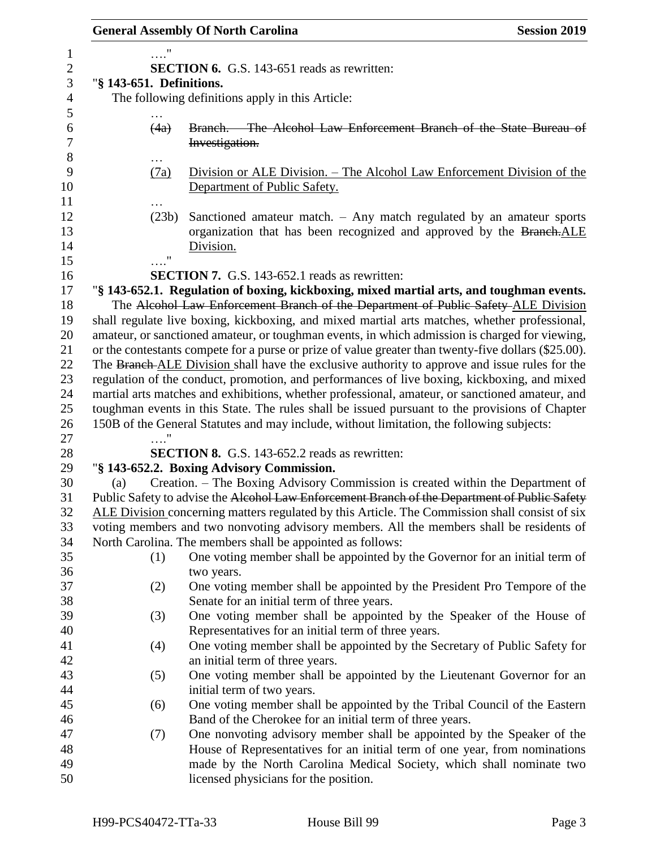|                          |    | <b>General Assembly Of North Carolina</b>                                                                                                                                      | <b>Session 2019</b> |
|--------------------------|----|--------------------------------------------------------------------------------------------------------------------------------------------------------------------------------|---------------------|
|                          |    |                                                                                                                                                                                |                     |
|                          |    | <b>SECTION 6.</b> G.S. 143-651 reads as rewritten:                                                                                                                             |                     |
| "§ 143-651. Definitions. |    |                                                                                                                                                                                |                     |
|                          |    | The following definitions apply in this Article:                                                                                                                               |                     |
|                          |    |                                                                                                                                                                                |                     |
| (4a)                     |    | Branch. The Alcohol Law Enforcement Branch of the State Bureau of                                                                                                              |                     |
|                          |    | Investigation.                                                                                                                                                                 |                     |
|                          |    |                                                                                                                                                                                |                     |
| (7a)                     |    | Division or ALE Division. – The Alcohol Law Enforcement Division of the                                                                                                        |                     |
|                          |    | Department of Public Safety.                                                                                                                                                   |                     |
|                          |    |                                                                                                                                                                                |                     |
| (23b)                    |    | Sanctioned amateur match. $-$ Any match regulated by an amateur sports                                                                                                         |                     |
|                          |    | organization that has been recognized and approved by the Branch.ALE                                                                                                           |                     |
|                          | 11 | Division.                                                                                                                                                                      |                     |
|                          |    |                                                                                                                                                                                |                     |
|                          |    | <b>SECTION 7.</b> G.S. 143-652.1 reads as rewritten:                                                                                                                           |                     |
|                          |    | "§ 143-652.1. Regulation of boxing, kickboxing, mixed martial arts, and toughman events.<br>The Alcohol Law Enforcement Branch of the Department of Public Safety-ALE Division |                     |
|                          |    | shall regulate live boxing, kickboxing, and mixed martial arts matches, whether professional,                                                                                  |                     |
|                          |    | amateur, or sanctioned amateur, or toughman events, in which admission is charged for viewing,                                                                                 |                     |
|                          |    | or the contestants compete for a purse or prize of value greater than twenty-five dollars (\$25.00).                                                                           |                     |
|                          |    | The Branch-ALE Division shall have the exclusive authority to approve and issue rules for the                                                                                  |                     |
|                          |    | regulation of the conduct, promotion, and performances of live boxing, kickboxing, and mixed                                                                                   |                     |
|                          |    | martial arts matches and exhibitions, whether professional, amateur, or sanctioned amateur, and                                                                                |                     |
|                          |    | toughman events in this State. The rules shall be issued pursuant to the provisions of Chapter                                                                                 |                     |
|                          |    | 150B of the General Statutes and may include, without limitation, the following subjects:                                                                                      |                     |
|                          |    |                                                                                                                                                                                |                     |
|                          |    | <b>SECTION 8.</b> G.S. 143-652.2 reads as rewritten:                                                                                                                           |                     |
|                          |    | "§ 143-652.2. Boxing Advisory Commission.                                                                                                                                      |                     |
| (a)                      |    | Creation. – The Boxing Advisory Commission is created within the Department of                                                                                                 |                     |
|                          |    | Public Safety to advise the Alcohol Law Enforcement Branch of the Department of Public Safety                                                                                  |                     |
|                          |    | ALE Division concerning matters regulated by this Article. The Commission shall consist of six                                                                                 |                     |
|                          |    | voting members and two nonvoting advisory members. All the members shall be residents of                                                                                       |                     |
|                          |    | North Carolina. The members shall be appointed as follows:                                                                                                                     |                     |
| (1)                      |    | One voting member shall be appointed by the Governor for an initial term of                                                                                                    |                     |
|                          |    | two years.                                                                                                                                                                     |                     |
| (2)                      |    | One voting member shall be appointed by the President Pro Tempore of the                                                                                                       |                     |
|                          |    | Senate for an initial term of three years.                                                                                                                                     |                     |
| (3)                      |    | One voting member shall be appointed by the Speaker of the House of                                                                                                            |                     |
|                          |    | Representatives for an initial term of three years.                                                                                                                            |                     |
| (4)                      |    | One voting member shall be appointed by the Secretary of Public Safety for                                                                                                     |                     |
|                          |    | an initial term of three years.                                                                                                                                                |                     |
| (5)                      |    | One voting member shall be appointed by the Lieutenant Governor for an                                                                                                         |                     |
|                          |    | initial term of two years.                                                                                                                                                     |                     |
| (6)                      |    | One voting member shall be appointed by the Tribal Council of the Eastern                                                                                                      |                     |
|                          |    | Band of the Cherokee for an initial term of three years.                                                                                                                       |                     |
| (7)                      |    | One nonvoting advisory member shall be appointed by the Speaker of the                                                                                                         |                     |
|                          |    | House of Representatives for an initial term of one year, from nominations                                                                                                     |                     |
|                          |    | made by the North Carolina Medical Society, which shall nominate two                                                                                                           |                     |
|                          |    | licensed physicians for the position.                                                                                                                                          |                     |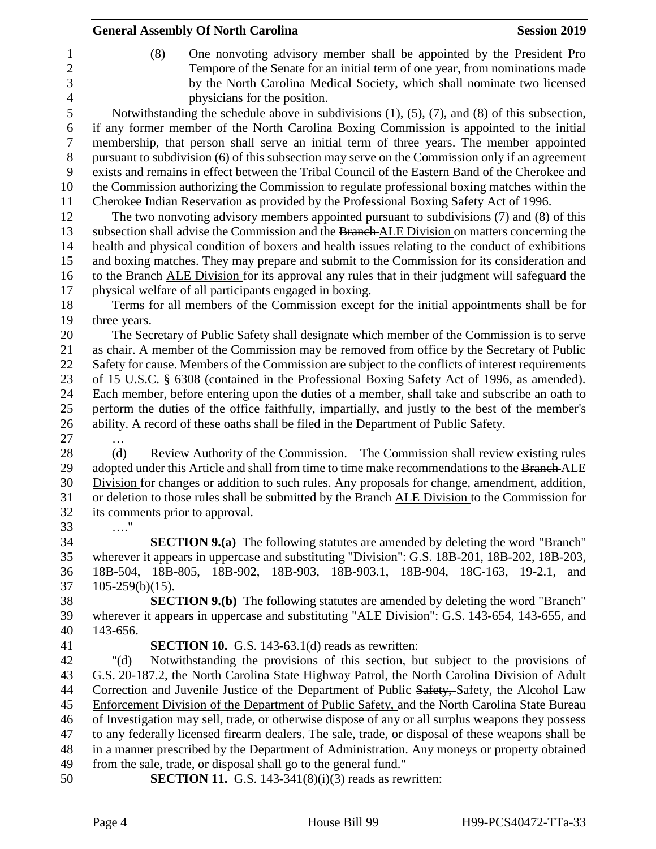|                                  | <b>General Assembly Of North Carolina</b>                                                                                                                                                       | <b>Session 2019</b> |
|----------------------------------|-------------------------------------------------------------------------------------------------------------------------------------------------------------------------------------------------|---------------------|
| 1<br>$\overline{2}$              | One nonvoting advisory member shall be appointed by the President Pro<br>(8)<br>Tempore of the Senate for an initial term of one year, from nominations made                                    |                     |
| 3                                | by the North Carolina Medical Society, which shall nominate two licensed                                                                                                                        |                     |
| $\overline{4}$<br>$\mathfrak{S}$ | physicians for the position.<br>Notwithstanding the schedule above in subdivisions $(1)$ , $(5)$ , $(7)$ , and $(8)$ of this subsection,                                                        |                     |
| 6                                | if any former member of the North Carolina Boxing Commission is appointed to the initial                                                                                                        |                     |
| 7                                | membership, that person shall serve an initial term of three years. The member appointed                                                                                                        |                     |
| 8<br>9                           | pursuant to subdivision (6) of this subsection may serve on the Commission only if an agreement                                                                                                 |                     |
| 10                               | exists and remains in effect between the Tribal Council of the Eastern Band of the Cherokee and<br>the Commission authorizing the Commission to regulate professional boxing matches within the |                     |
| 11                               | Cherokee Indian Reservation as provided by the Professional Boxing Safety Act of 1996.                                                                                                          |                     |
| 12                               | The two nonvoting advisory members appointed pursuant to subdivisions (7) and (8) of this                                                                                                       |                     |
| 13                               | subsection shall advise the Commission and the Branch ALE Division on matters concerning the                                                                                                    |                     |
| 14                               | health and physical condition of boxers and health issues relating to the conduct of exhibitions                                                                                                |                     |
| 15                               | and boxing matches. They may prepare and submit to the Commission for its consideration and                                                                                                     |                     |
| 16                               | to the Branch ALE Division for its approval any rules that in their judgment will safeguard the<br>physical welfare of all participants engaged in boxing.                                      |                     |
| 17<br>18                         | Terms for all members of the Commission except for the initial appointments shall be for                                                                                                        |                     |
| 19                               | three years.                                                                                                                                                                                    |                     |
| 20                               | The Secretary of Public Safety shall designate which member of the Commission is to serve                                                                                                       |                     |
| 21                               | as chair. A member of the Commission may be removed from office by the Secretary of Public                                                                                                      |                     |
| 22                               | Safety for cause. Members of the Commission are subject to the conflicts of interest requirements                                                                                               |                     |
| 23                               | of 15 U.S.C. § 6308 (contained in the Professional Boxing Safety Act of 1996, as amended).                                                                                                      |                     |
| 24                               | Each member, before entering upon the duties of a member, shall take and subscribe an oath to                                                                                                   |                     |
| 25<br>26                         | perform the duties of the office faithfully, impartially, and justly to the best of the member's<br>ability. A record of these oaths shall be filed in the Department of Public Safety.         |                     |
| 27                               |                                                                                                                                                                                                 |                     |
| 28                               | (d)<br>Review Authority of the Commission. – The Commission shall review existing rules                                                                                                         |                     |
| 29                               | adopted under this Article and shall from time to time make recommendations to the Branch ALE                                                                                                   |                     |
| 30                               | Division for changes or addition to such rules. Any proposals for change, amendment, addition,                                                                                                  |                     |
| 31                               | or deletion to those rules shall be submitted by the Branch ALE Division to the Commission for                                                                                                  |                     |
| 32                               | its comments prior to approval.                                                                                                                                                                 |                     |
| 33<br>34                         | . "<br><b>SECTION 9.(a)</b> The following statutes are amended by deleting the word "Branch"                                                                                                    |                     |
| 35                               | wherever it appears in uppercase and substituting "Division": G.S. 18B-201, 18B-202, 18B-203,                                                                                                   |                     |
| 36                               | 18B-504, 18B-805, 18B-902, 18B-903, 18B-903.1, 18B-904, 18C-163, 19-2.1,                                                                                                                        | and                 |
| 37                               | $105-259(b)(15)$ .                                                                                                                                                                              |                     |
| 38                               | <b>SECTION 9.(b)</b> The following statutes are amended by deleting the word "Branch"                                                                                                           |                     |
| 39                               | wherever it appears in uppercase and substituting "ALE Division": G.S. 143-654, 143-655, and                                                                                                    |                     |
| 40                               | 143-656.                                                                                                                                                                                        |                     |
| 41<br>42                         | <b>SECTION 10.</b> G.S. 143-63.1(d) reads as rewritten:<br>Notwithstanding the provisions of this section, but subject to the provisions of<br>" $(d)$                                          |                     |
| 43                               | G.S. 20-187.2, the North Carolina State Highway Patrol, the North Carolina Division of Adult                                                                                                    |                     |
| 44                               | Correction and Juvenile Justice of the Department of Public Safety, Safety, the Alcohol Law                                                                                                     |                     |
| 45                               | Enforcement Division of the Department of Public Safety, and the North Carolina State Bureau                                                                                                    |                     |
| 46                               | of Investigation may sell, trade, or otherwise dispose of any or all surplus weapons they possess                                                                                               |                     |
| 47                               | to any federally licensed firearm dealers. The sale, trade, or disposal of these weapons shall be                                                                                               |                     |
| 48                               | in a manner prescribed by the Department of Administration. Any moneys or property obtained                                                                                                     |                     |
| 49                               | from the sale, trade, or disposal shall go to the general fund."                                                                                                                                |                     |
| 50                               | <b>SECTION 11.</b> G.S. 143-341 $(8)(i)(3)$ reads as rewritten:                                                                                                                                 |                     |